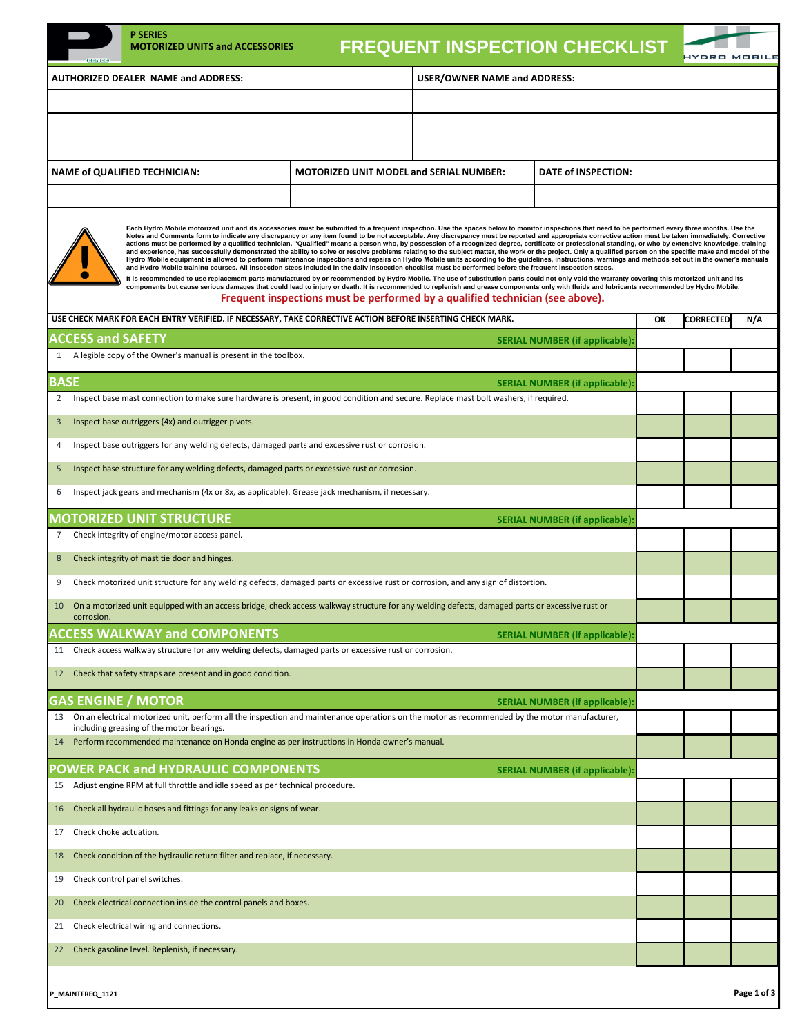| <b>GENERA</b>                                                                                               | <b>P SERIES</b><br><b>MOTORIZED UNITS and ACCESSORIES</b>                                                                                                                                                                                                                                                                                                                                                                                                                                                                                                                                                                                                                                                                                                                                                                                                                                                                                                                                                                                                                                                                                                                                                                                                                                                                                                                                                                                                                                                                                                                                                                                                                                       |  | <b>FREQUENT INSPECTION CHECKLIST</b> |                                                                                                                                                |    |                  |     |  |
|-------------------------------------------------------------------------------------------------------------|-------------------------------------------------------------------------------------------------------------------------------------------------------------------------------------------------------------------------------------------------------------------------------------------------------------------------------------------------------------------------------------------------------------------------------------------------------------------------------------------------------------------------------------------------------------------------------------------------------------------------------------------------------------------------------------------------------------------------------------------------------------------------------------------------------------------------------------------------------------------------------------------------------------------------------------------------------------------------------------------------------------------------------------------------------------------------------------------------------------------------------------------------------------------------------------------------------------------------------------------------------------------------------------------------------------------------------------------------------------------------------------------------------------------------------------------------------------------------------------------------------------------------------------------------------------------------------------------------------------------------------------------------------------------------------------------------|--|--------------------------------------|------------------------------------------------------------------------------------------------------------------------------------------------|----|------------------|-----|--|
| <b>USER/OWNER NAME and ADDRESS:</b><br><b>AUTHORIZED DEALER NAME and ADDRESS:</b>                           |                                                                                                                                                                                                                                                                                                                                                                                                                                                                                                                                                                                                                                                                                                                                                                                                                                                                                                                                                                                                                                                                                                                                                                                                                                                                                                                                                                                                                                                                                                                                                                                                                                                                                                 |  |                                      |                                                                                                                                                |    |                  |     |  |
|                                                                                                             |                                                                                                                                                                                                                                                                                                                                                                                                                                                                                                                                                                                                                                                                                                                                                                                                                                                                                                                                                                                                                                                                                                                                                                                                                                                                                                                                                                                                                                                                                                                                                                                                                                                                                                 |  |                                      |                                                                                                                                                |    |                  |     |  |
|                                                                                                             |                                                                                                                                                                                                                                                                                                                                                                                                                                                                                                                                                                                                                                                                                                                                                                                                                                                                                                                                                                                                                                                                                                                                                                                                                                                                                                                                                                                                                                                                                                                                                                                                                                                                                                 |  |                                      |                                                                                                                                                |    |                  |     |  |
|                                                                                                             |                                                                                                                                                                                                                                                                                                                                                                                                                                                                                                                                                                                                                                                                                                                                                                                                                                                                                                                                                                                                                                                                                                                                                                                                                                                                                                                                                                                                                                                                                                                                                                                                                                                                                                 |  |                                      |                                                                                                                                                |    |                  |     |  |
|                                                                                                             |                                                                                                                                                                                                                                                                                                                                                                                                                                                                                                                                                                                                                                                                                                                                                                                                                                                                                                                                                                                                                                                                                                                                                                                                                                                                                                                                                                                                                                                                                                                                                                                                                                                                                                 |  |                                      | DATE of INSPECTION:                                                                                                                            |    |                  |     |  |
| <b>MOTORIZED UNIT MODEL and SERIAL NUMBER:</b><br><b>NAME of QUALIFIED TECHNICIAN:</b>                      |                                                                                                                                                                                                                                                                                                                                                                                                                                                                                                                                                                                                                                                                                                                                                                                                                                                                                                                                                                                                                                                                                                                                                                                                                                                                                                                                                                                                                                                                                                                                                                                                                                                                                                 |  |                                      |                                                                                                                                                |    |                  |     |  |
|                                                                                                             |                                                                                                                                                                                                                                                                                                                                                                                                                                                                                                                                                                                                                                                                                                                                                                                                                                                                                                                                                                                                                                                                                                                                                                                                                                                                                                                                                                                                                                                                                                                                                                                                                                                                                                 |  |                                      |                                                                                                                                                |    |                  |     |  |
|                                                                                                             | Each Hydro Mobile motorized unit and its accessories must be submitted to a frequent inspection. Use the spaces below to monitor inspections that need to be performed every three months. Use the<br>Notes and Comments form to indicate any discrepancy or any item found to be not acceptable. Any discrepancy must be reported and appropriate corrective action must be taken immediately. Corrective<br>actions must be performed by a qualified technician. "Qualified" means a person who, by possession of a recognized degree, certificate or professional standing, or who by extensive knowledge, training<br>and experience, has successfully demonstrated the ability to solve or resolve problems relating to the subject matter, the work or the project. Only a qualified person on the specific make and model of the<br>Hydro Mobile equipment is allowed to perform maintenance inspections and repairs on Hydro Mobile units according to the guidelines, instructions, warnings and methods set out in the owner's manuals<br>and Hydro Mobile training courses. All inspection steps included in the daily inspection checklist must be performed before the frequent inspection steps.<br>It is recommended to use replacement parts manufactured by or recommended by Hydro Mobile. The use of substitution parts could not only void the warranty covering this motorized unit and its<br>components but cause serious damages that could lead to injury or death. It is recommended to replenish and grease components only with fluids and lubricants recommended by Hydro Mobile.<br>Frequent inspections must be performed by a qualified technician (see above). |  |                                      |                                                                                                                                                |    |                  |     |  |
|                                                                                                             | USE CHECK MARK FOR EACH ENTRY VERIFIED. IF NECESSARY, TAKE CORRECTIVE ACTION BEFORE INSERTING CHECK MARK.                                                                                                                                                                                                                                                                                                                                                                                                                                                                                                                                                                                                                                                                                                                                                                                                                                                                                                                                                                                                                                                                                                                                                                                                                                                                                                                                                                                                                                                                                                                                                                                       |  |                                      |                                                                                                                                                | ОК | <b>CORRECTED</b> | N/A |  |
| <b>ACCESS and SAFETY</b>                                                                                    | 1 A legible copy of the Owner's manual is present in the toolbox.                                                                                                                                                                                                                                                                                                                                                                                                                                                                                                                                                                                                                                                                                                                                                                                                                                                                                                                                                                                                                                                                                                                                                                                                                                                                                                                                                                                                                                                                                                                                                                                                                               |  |                                      | <b>SERIAL NUMBER (if applicable)</b>                                                                                                           |    |                  |     |  |
|                                                                                                             |                                                                                                                                                                                                                                                                                                                                                                                                                                                                                                                                                                                                                                                                                                                                                                                                                                                                                                                                                                                                                                                                                                                                                                                                                                                                                                                                                                                                                                                                                                                                                                                                                                                                                                 |  |                                      |                                                                                                                                                |    |                  |     |  |
| <b>BASE</b><br>$\mathbf{2}$                                                                                 | Inspect base mast connection to make sure hardware is present, in good condition and secure. Replace mast bolt washers, if required.                                                                                                                                                                                                                                                                                                                                                                                                                                                                                                                                                                                                                                                                                                                                                                                                                                                                                                                                                                                                                                                                                                                                                                                                                                                                                                                                                                                                                                                                                                                                                            |  |                                      | <b>SERIAL NUMBER (if applicable)</b>                                                                                                           |    |                  |     |  |
|                                                                                                             |                                                                                                                                                                                                                                                                                                                                                                                                                                                                                                                                                                                                                                                                                                                                                                                                                                                                                                                                                                                                                                                                                                                                                                                                                                                                                                                                                                                                                                                                                                                                                                                                                                                                                                 |  |                                      |                                                                                                                                                |    |                  |     |  |
| 3                                                                                                           | Inspect base outriggers (4x) and outrigger pivots.                                                                                                                                                                                                                                                                                                                                                                                                                                                                                                                                                                                                                                                                                                                                                                                                                                                                                                                                                                                                                                                                                                                                                                                                                                                                                                                                                                                                                                                                                                                                                                                                                                              |  |                                      |                                                                                                                                                |    |                  |     |  |
| 4                                                                                                           | Inspect base outriggers for any welding defects, damaged parts and excessive rust or corrosion.                                                                                                                                                                                                                                                                                                                                                                                                                                                                                                                                                                                                                                                                                                                                                                                                                                                                                                                                                                                                                                                                                                                                                                                                                                                                                                                                                                                                                                                                                                                                                                                                 |  |                                      |                                                                                                                                                |    |                  |     |  |
| 5                                                                                                           | Inspect base structure for any welding defects, damaged parts or excessive rust or corrosion.                                                                                                                                                                                                                                                                                                                                                                                                                                                                                                                                                                                                                                                                                                                                                                                                                                                                                                                                                                                                                                                                                                                                                                                                                                                                                                                                                                                                                                                                                                                                                                                                   |  |                                      |                                                                                                                                                |    |                  |     |  |
| 6                                                                                                           | Inspect jack gears and mechanism (4x or 8x, as applicable). Grease jack mechanism, if necessary.                                                                                                                                                                                                                                                                                                                                                                                                                                                                                                                                                                                                                                                                                                                                                                                                                                                                                                                                                                                                                                                                                                                                                                                                                                                                                                                                                                                                                                                                                                                                                                                                |  |                                      |                                                                                                                                                |    |                  |     |  |
|                                                                                                             | <b>MOTORIZED UNIT STRUCTURE</b>                                                                                                                                                                                                                                                                                                                                                                                                                                                                                                                                                                                                                                                                                                                                                                                                                                                                                                                                                                                                                                                                                                                                                                                                                                                                                                                                                                                                                                                                                                                                                                                                                                                                 |  |                                      | <b>SERIAL NUMBER (if applicable)</b>                                                                                                           |    |                  |     |  |
| 7                                                                                                           | Check integrity of engine/motor access panel.                                                                                                                                                                                                                                                                                                                                                                                                                                                                                                                                                                                                                                                                                                                                                                                                                                                                                                                                                                                                                                                                                                                                                                                                                                                                                                                                                                                                                                                                                                                                                                                                                                                   |  |                                      |                                                                                                                                                |    |                  |     |  |
| 8                                                                                                           | Check integrity of mast tie door and hinges.                                                                                                                                                                                                                                                                                                                                                                                                                                                                                                                                                                                                                                                                                                                                                                                                                                                                                                                                                                                                                                                                                                                                                                                                                                                                                                                                                                                                                                                                                                                                                                                                                                                    |  |                                      |                                                                                                                                                |    |                  |     |  |
| 9                                                                                                           | Check motorized unit structure for any welding defects, damaged parts or excessive rust or corrosion, and any sign of distortion.                                                                                                                                                                                                                                                                                                                                                                                                                                                                                                                                                                                                                                                                                                                                                                                                                                                                                                                                                                                                                                                                                                                                                                                                                                                                                                                                                                                                                                                                                                                                                               |  |                                      |                                                                                                                                                |    |                  |     |  |
| 10<br>corrosion.                                                                                            |                                                                                                                                                                                                                                                                                                                                                                                                                                                                                                                                                                                                                                                                                                                                                                                                                                                                                                                                                                                                                                                                                                                                                                                                                                                                                                                                                                                                                                                                                                                                                                                                                                                                                                 |  |                                      | On a motorized unit equipped with an access bridge, check access walkway structure for any welding defects, damaged parts or excessive rust or |    |                  |     |  |
|                                                                                                             | <b>ACCESS WALKWAY and COMPONENTS</b><br><b>SERIAL NUMBER (if applicable)</b>                                                                                                                                                                                                                                                                                                                                                                                                                                                                                                                                                                                                                                                                                                                                                                                                                                                                                                                                                                                                                                                                                                                                                                                                                                                                                                                                                                                                                                                                                                                                                                                                                    |  |                                      |                                                                                                                                                |    |                  |     |  |
| Check access walkway structure for any welding defects, damaged parts or excessive rust or corrosion.<br>11 |                                                                                                                                                                                                                                                                                                                                                                                                                                                                                                                                                                                                                                                                                                                                                                                                                                                                                                                                                                                                                                                                                                                                                                                                                                                                                                                                                                                                                                                                                                                                                                                                                                                                                                 |  |                                      |                                                                                                                                                |    |                  |     |  |
|                                                                                                             |                                                                                                                                                                                                                                                                                                                                                                                                                                                                                                                                                                                                                                                                                                                                                                                                                                                                                                                                                                                                                                                                                                                                                                                                                                                                                                                                                                                                                                                                                                                                                                                                                                                                                                 |  |                                      |                                                                                                                                                |    |                  |     |  |
| 12                                                                                                          | Check that safety straps are present and in good condition.                                                                                                                                                                                                                                                                                                                                                                                                                                                                                                                                                                                                                                                                                                                                                                                                                                                                                                                                                                                                                                                                                                                                                                                                                                                                                                                                                                                                                                                                                                                                                                                                                                     |  |                                      |                                                                                                                                                |    |                  |     |  |
|                                                                                                             |                                                                                                                                                                                                                                                                                                                                                                                                                                                                                                                                                                                                                                                                                                                                                                                                                                                                                                                                                                                                                                                                                                                                                                                                                                                                                                                                                                                                                                                                                                                                                                                                                                                                                                 |  |                                      |                                                                                                                                                |    |                  |     |  |
| <b>GAS ENGINE / MOTOR</b><br>13                                                                             | On an electrical motorized unit, perform all the inspection and maintenance operations on the motor as recommended by the motor manufacturer,                                                                                                                                                                                                                                                                                                                                                                                                                                                                                                                                                                                                                                                                                                                                                                                                                                                                                                                                                                                                                                                                                                                                                                                                                                                                                                                                                                                                                                                                                                                                                   |  |                                      | <b>SERIAL NUMBER (if applicable)</b>                                                                                                           |    |                  |     |  |
| 14                                                                                                          | including greasing of the motor bearings.<br>Perform recommended maintenance on Honda engine as per instructions in Honda owner's manual.                                                                                                                                                                                                                                                                                                                                                                                                                                                                                                                                                                                                                                                                                                                                                                                                                                                                                                                                                                                                                                                                                                                                                                                                                                                                                                                                                                                                                                                                                                                                                       |  |                                      |                                                                                                                                                |    |                  |     |  |
|                                                                                                             |                                                                                                                                                                                                                                                                                                                                                                                                                                                                                                                                                                                                                                                                                                                                                                                                                                                                                                                                                                                                                                                                                                                                                                                                                                                                                                                                                                                                                                                                                                                                                                                                                                                                                                 |  |                                      |                                                                                                                                                |    |                  |     |  |
| 15                                                                                                          | <b>POWER PACK and HYDRAULIC COMPONENTS</b><br>Adjust engine RPM at full throttle and idle speed as per technical procedure.                                                                                                                                                                                                                                                                                                                                                                                                                                                                                                                                                                                                                                                                                                                                                                                                                                                                                                                                                                                                                                                                                                                                                                                                                                                                                                                                                                                                                                                                                                                                                                     |  |                                      | <b>SERIAL NUMBER (if applicable)</b>                                                                                                           |    |                  |     |  |
| 16                                                                                                          | Check all hydraulic hoses and fittings for any leaks or signs of wear.                                                                                                                                                                                                                                                                                                                                                                                                                                                                                                                                                                                                                                                                                                                                                                                                                                                                                                                                                                                                                                                                                                                                                                                                                                                                                                                                                                                                                                                                                                                                                                                                                          |  |                                      |                                                                                                                                                |    |                  |     |  |
| Check choke actuation.<br>17                                                                                |                                                                                                                                                                                                                                                                                                                                                                                                                                                                                                                                                                                                                                                                                                                                                                                                                                                                                                                                                                                                                                                                                                                                                                                                                                                                                                                                                                                                                                                                                                                                                                                                                                                                                                 |  |                                      |                                                                                                                                                |    |                  |     |  |
| 18                                                                                                          | Check condition of the hydraulic return filter and replace, if necessary.                                                                                                                                                                                                                                                                                                                                                                                                                                                                                                                                                                                                                                                                                                                                                                                                                                                                                                                                                                                                                                                                                                                                                                                                                                                                                                                                                                                                                                                                                                                                                                                                                       |  |                                      |                                                                                                                                                |    |                  |     |  |
| 19                                                                                                          | Check control panel switches.                                                                                                                                                                                                                                                                                                                                                                                                                                                                                                                                                                                                                                                                                                                                                                                                                                                                                                                                                                                                                                                                                                                                                                                                                                                                                                                                                                                                                                                                                                                                                                                                                                                                   |  |                                      |                                                                                                                                                |    |                  |     |  |
| 20                                                                                                          | Check electrical connection inside the control panels and boxes.                                                                                                                                                                                                                                                                                                                                                                                                                                                                                                                                                                                                                                                                                                                                                                                                                                                                                                                                                                                                                                                                                                                                                                                                                                                                                                                                                                                                                                                                                                                                                                                                                                |  |                                      |                                                                                                                                                |    |                  |     |  |
|                                                                                                             |                                                                                                                                                                                                                                                                                                                                                                                                                                                                                                                                                                                                                                                                                                                                                                                                                                                                                                                                                                                                                                                                                                                                                                                                                                                                                                                                                                                                                                                                                                                                                                                                                                                                                                 |  |                                      |                                                                                                                                                |    |                  |     |  |
| 21                                                                                                          | Check electrical wiring and connections.                                                                                                                                                                                                                                                                                                                                                                                                                                                                                                                                                                                                                                                                                                                                                                                                                                                                                                                                                                                                                                                                                                                                                                                                                                                                                                                                                                                                                                                                                                                                                                                                                                                        |  |                                      |                                                                                                                                                |    |                  |     |  |
| 22                                                                                                          | Check gasoline level. Replenish, if necessary.                                                                                                                                                                                                                                                                                                                                                                                                                                                                                                                                                                                                                                                                                                                                                                                                                                                                                                                                                                                                                                                                                                                                                                                                                                                                                                                                                                                                                                                                                                                                                                                                                                                  |  |                                      |                                                                                                                                                |    |                  |     |  |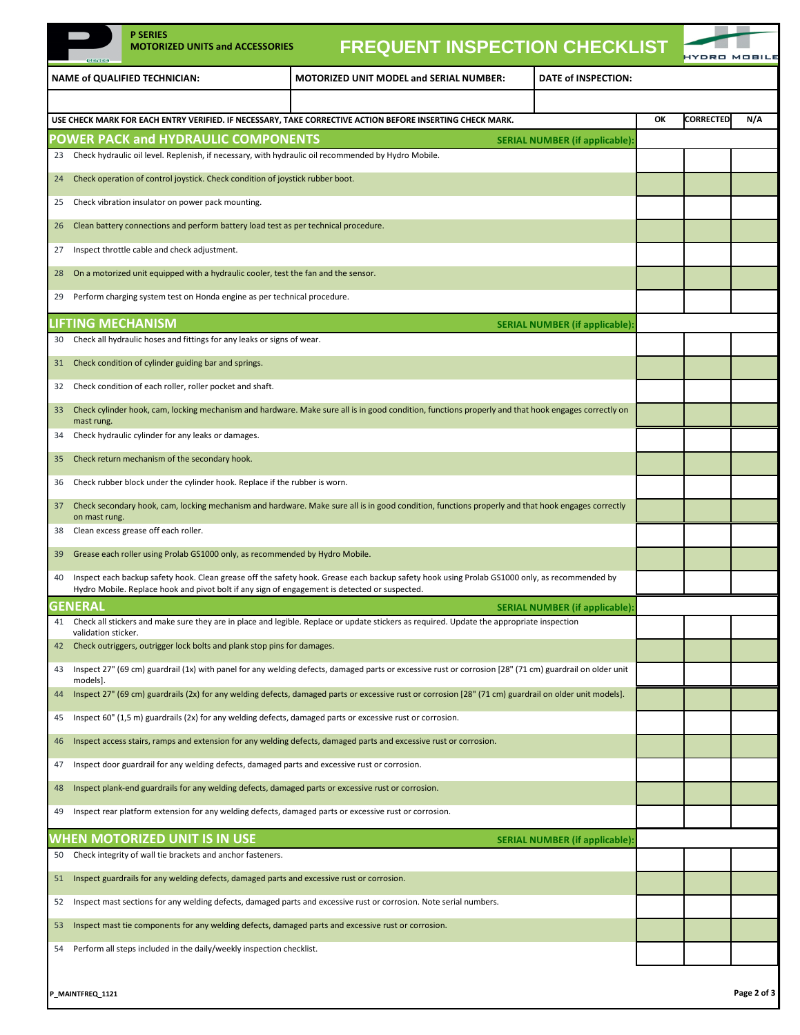|                                                                                                                                                          | <b>GERTES</b>                                                                                                      | <b>P SERIES</b><br><b>MOTORIZED UNITS and ACCESSORIES</b>                                              | <b>FREQUENT INSPECTION CHECKLIST</b>                                                                                                                     |                                      |    | HYDRO MOBILE     |     |
|----------------------------------------------------------------------------------------------------------------------------------------------------------|--------------------------------------------------------------------------------------------------------------------|--------------------------------------------------------------------------------------------------------|----------------------------------------------------------------------------------------------------------------------------------------------------------|--------------------------------------|----|------------------|-----|
|                                                                                                                                                          |                                                                                                                    | <b>NAME of QUALIFIED TECHNICIAN:</b>                                                                   | <b>MOTORIZED UNIT MODEL and SERIAL NUMBER:</b>                                                                                                           | DATE of INSPECTION:                  |    |                  |     |
|                                                                                                                                                          |                                                                                                                    |                                                                                                        |                                                                                                                                                          |                                      |    |                  |     |
|                                                                                                                                                          |                                                                                                                    |                                                                                                        | USE CHECK MARK FOR EACH ENTRY VERIFIED. IF NECESSARY, TAKE CORRECTIVE ACTION BEFORE INSERTING CHECK MARK.                                                |                                      | ОΚ | <b>CORRECTED</b> | N/A |
| <b>POWER PACK and HYDRAULIC COMPONENTS</b><br><b>SERIAL NUMBER (if applicable):</b>                                                                      |                                                                                                                    |                                                                                                        |                                                                                                                                                          |                                      |    |                  |     |
| 23                                                                                                                                                       |                                                                                                                    | Check hydraulic oil level. Replenish, if necessary, with hydraulic oil recommended by Hydro Mobile.    |                                                                                                                                                          |                                      |    |                  |     |
| Check operation of control joystick. Check condition of joystick rubber boot.<br>24                                                                      |                                                                                                                    |                                                                                                        |                                                                                                                                                          |                                      |    |                  |     |
| Check vibration insulator on power pack mounting.<br>25                                                                                                  |                                                                                                                    |                                                                                                        |                                                                                                                                                          |                                      |    |                  |     |
| Clean battery connections and perform battery load test as per technical procedure.<br>26                                                                |                                                                                                                    |                                                                                                        |                                                                                                                                                          |                                      |    |                  |     |
| 27                                                                                                                                                       | Inspect throttle cable and check adjustment.                                                                       |                                                                                                        |                                                                                                                                                          |                                      |    |                  |     |
| 28                                                                                                                                                       | On a motorized unit equipped with a hydraulic cooler, test the fan and the sensor.                                 |                                                                                                        |                                                                                                                                                          |                                      |    |                  |     |
| 29                                                                                                                                                       |                                                                                                                    | Perform charging system test on Honda engine as per technical procedure.                               |                                                                                                                                                          |                                      |    |                  |     |
|                                                                                                                                                          |                                                                                                                    | <b>LIFTING MECHANISM</b>                                                                               |                                                                                                                                                          | <b>SERIAL NUMBER (if applicable)</b> |    |                  |     |
| 30                                                                                                                                                       |                                                                                                                    | Check all hydraulic hoses and fittings for any leaks or signs of wear.                                 |                                                                                                                                                          |                                      |    |                  |     |
| 31                                                                                                                                                       |                                                                                                                    | Check condition of cylinder guiding bar and springs.                                                   |                                                                                                                                                          |                                      |    |                  |     |
| 32                                                                                                                                                       |                                                                                                                    | Check condition of each roller, roller pocket and shaft.                                               |                                                                                                                                                          |                                      |    |                  |     |
| 33                                                                                                                                                       | mast rung.                                                                                                         |                                                                                                        | Check cylinder hook, cam, locking mechanism and hardware. Make sure all is in good condition, functions properly and that hook engages correctly on      |                                      |    |                  |     |
| 34                                                                                                                                                       |                                                                                                                    | Check hydraulic cylinder for any leaks or damages.                                                     |                                                                                                                                                          |                                      |    |                  |     |
| 35                                                                                                                                                       |                                                                                                                    | Check return mechanism of the secondary hook.                                                          |                                                                                                                                                          |                                      |    |                  |     |
| 36                                                                                                                                                       |                                                                                                                    | Check rubber block under the cylinder hook. Replace if the rubber is worn.                             |                                                                                                                                                          |                                      |    |                  |     |
| 37                                                                                                                                                       | on mast rung.                                                                                                      |                                                                                                        | Check secondary hook, cam, locking mechanism and hardware. Make sure all is in good condition, functions properly and that hook engages correctly        |                                      |    |                  |     |
| 38                                                                                                                                                       |                                                                                                                    | Clean excess grease off each roller.                                                                   |                                                                                                                                                          |                                      |    |                  |     |
| 39                                                                                                                                                       |                                                                                                                    | Grease each roller using Prolab GS1000 only, as recommended by Hydro Mobile.                           |                                                                                                                                                          |                                      |    |                  |     |
| 40                                                                                                                                                       |                                                                                                                    |                                                                                                        | Inspect each backup safety hook. Clean grease off the safety hook. Grease each backup safety hook using Prolab GS1000 only, as recommended by            |                                      |    |                  |     |
| Hydro Mobile. Replace hook and pivot bolt if any sign of engagement is detected or suspected.<br><b>GENERAL</b><br><b>SERIAL NUMBER (if applicable):</b> |                                                                                                                    |                                                                                                        |                                                                                                                                                          |                                      |    |                  |     |
| 41                                                                                                                                                       | validation sticker.                                                                                                |                                                                                                        | Check all stickers and make sure they are in place and legible. Replace or update stickers as required. Update the appropriate inspection                |                                      |    |                  |     |
| 42                                                                                                                                                       |                                                                                                                    | Check outriggers, outrigger lock bolts and plank stop pins for damages.                                |                                                                                                                                                          |                                      |    |                  |     |
| 43                                                                                                                                                       | models].                                                                                                           |                                                                                                        | Inspect 27" (69 cm) guardrail (1x) with panel for any welding defects, damaged parts or excessive rust or corrosion [28" (71 cm) guardrail on older unit |                                      |    |                  |     |
| 44                                                                                                                                                       |                                                                                                                    |                                                                                                        | Inspect 27" (69 cm) guardrails (2x) for any welding defects, damaged parts or excessive rust or corrosion [28" (71 cm) guardrail on older unit models].  |                                      |    |                  |     |
| 45                                                                                                                                                       | Inspect 60" (1,5 m) guardrails (2x) for any welding defects, damaged parts or excessive rust or corrosion.         |                                                                                                        |                                                                                                                                                          |                                      |    |                  |     |
| 46                                                                                                                                                       | Inspect access stairs, ramps and extension for any welding defects, damaged parts and excessive rust or corrosion. |                                                                                                        |                                                                                                                                                          |                                      |    |                  |     |
| 47                                                                                                                                                       |                                                                                                                    | Inspect door guardrail for any welding defects, damaged parts and excessive rust or corrosion.         |                                                                                                                                                          |                                      |    |                  |     |
| 48                                                                                                                                                       |                                                                                                                    | Inspect plank-end guardrails for any welding defects, damaged parts or excessive rust or corrosion.    |                                                                                                                                                          |                                      |    |                  |     |
| 49                                                                                                                                                       |                                                                                                                    | Inspect rear platform extension for any welding defects, damaged parts or excessive rust or corrosion. |                                                                                                                                                          |                                      |    |                  |     |
|                                                                                                                                                          |                                                                                                                    | WHEN MOTORIZED UNIT IS IN USE                                                                          |                                                                                                                                                          | <b>SERIAL NUMBER (if applicable)</b> |    |                  |     |
| 50                                                                                                                                                       |                                                                                                                    | Check integrity of wall tie brackets and anchor fasteners.                                             |                                                                                                                                                          |                                      |    |                  |     |
| 51                                                                                                                                                       |                                                                                                                    | Inspect guardrails for any welding defects, damaged parts and excessive rust or corrosion.             |                                                                                                                                                          |                                      |    |                  |     |
| 52                                                                                                                                                       |                                                                                                                    |                                                                                                        | Inspect mast sections for any welding defects, damaged parts and excessive rust or corrosion. Note serial numbers.                                       |                                      |    |                  |     |
| 53                                                                                                                                                       |                                                                                                                    | Inspect mast tie components for any welding defects, damaged parts and excessive rust or corrosion.    |                                                                                                                                                          |                                      |    |                  |     |
| 54                                                                                                                                                       |                                                                                                                    | Perform all steps included in the daily/weekly inspection checklist.                                   |                                                                                                                                                          |                                      |    |                  |     |
|                                                                                                                                                          |                                                                                                                    |                                                                                                        |                                                                                                                                                          |                                      |    |                  |     |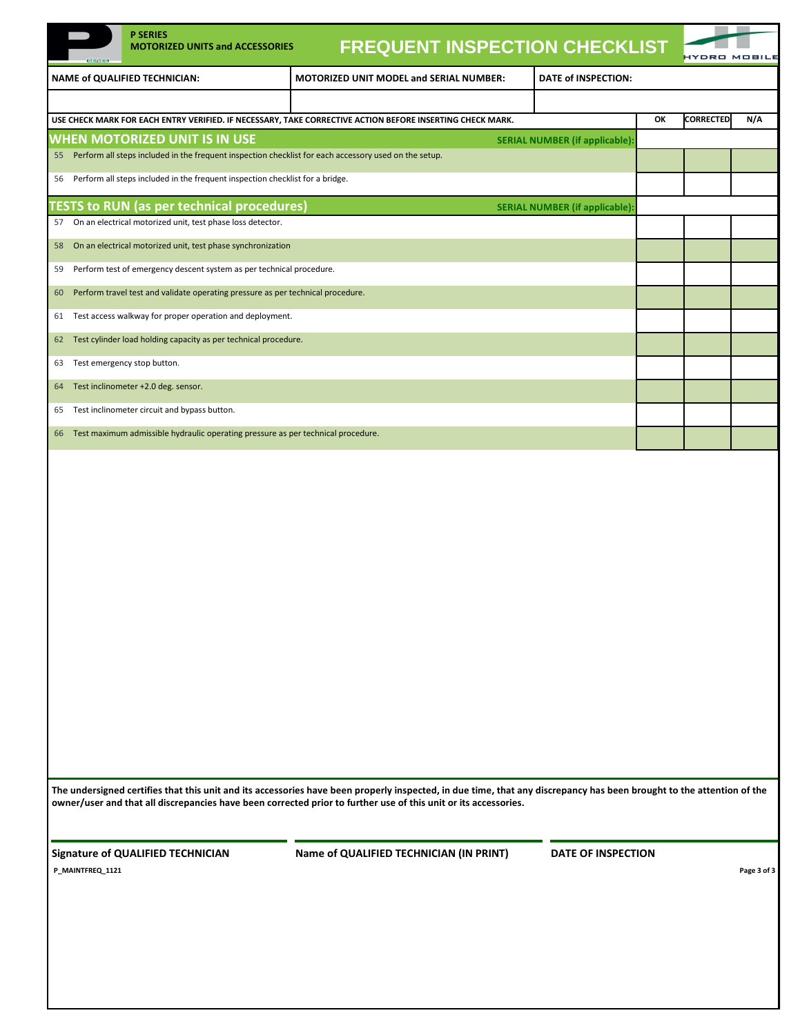| <b>SERIES</b>    | <b>P SERIES</b><br><b>MOTORIZED UNITS and ACCESSORIES</b>                                             | <b>FREQUENT INSPECTION CHECKLIST</b>                                                                                                                                  |                                      |    | HYDRO            |             |
|------------------|-------------------------------------------------------------------------------------------------------|-----------------------------------------------------------------------------------------------------------------------------------------------------------------------|--------------------------------------|----|------------------|-------------|
|                  | NAME of QUALIFIED TECHNICIAN:                                                                         | MOTORIZED UNIT MODEL and SERIAL NUMBER:                                                                                                                               | <b>DATE of INSPECTION:</b>           |    |                  |             |
|                  |                                                                                                       |                                                                                                                                                                       |                                      |    |                  |             |
|                  |                                                                                                       | USE CHECK MARK FOR EACH ENTRY VERIFIED. IF NECESSARY, TAKE CORRECTIVE ACTION BEFORE INSERTING CHECK MARK.                                                             |                                      | ОК | <b>CORRECTED</b> | N/A         |
|                  | WHEN MOTORIZED UNIT IS IN USE                                                                         |                                                                                                                                                                       | <b>SERIAL NUMBER (if applicable)</b> |    |                  |             |
| 55               | Perform all steps included in the frequent inspection checklist for each accessory used on the setup. |                                                                                                                                                                       |                                      |    |                  |             |
| 56               | Perform all steps included in the frequent inspection checklist for a bridge.                         |                                                                                                                                                                       |                                      |    |                  |             |
|                  | <b>TESTS to RUN (as per technical procedures)</b>                                                     |                                                                                                                                                                       | <b>SERIAL NUMBER (if applicable)</b> |    |                  |             |
| 57               | On an electrical motorized unit, test phase loss detector.                                            |                                                                                                                                                                       |                                      |    |                  |             |
| 58               | On an electrical motorized unit, test phase synchronization                                           |                                                                                                                                                                       |                                      |    |                  |             |
| 59               | Perform test of emergency descent system as per technical procedure.                                  |                                                                                                                                                                       |                                      |    |                  |             |
| 60               | Perform travel test and validate operating pressure as per technical procedure.                       |                                                                                                                                                                       |                                      |    |                  |             |
| 61               | Test access walkway for proper operation and deployment.                                              |                                                                                                                                                                       |                                      |    |                  |             |
| 62               | Test cylinder load holding capacity as per technical procedure.                                       |                                                                                                                                                                       |                                      |    |                  |             |
| 63               | Test emergency stop button.                                                                           |                                                                                                                                                                       |                                      |    |                  |             |
| 64               | Test inclinometer +2.0 deg. sensor.                                                                   |                                                                                                                                                                       |                                      |    |                  |             |
| 65               | Test inclinometer circuit and bypass button.                                                          |                                                                                                                                                                       |                                      |    |                  |             |
| 66               | Test maximum admissible hydraulic operating pressure as per technical procedure.                      |                                                                                                                                                                       |                                      |    |                  |             |
|                  |                                                                                                       |                                                                                                                                                                       |                                      |    |                  |             |
|                  |                                                                                                       | The undersigned certifies that this unit and its accessories have been properly inspected, in due time, that any discrepancy has been brought to the attention of the |                                      |    |                  |             |
|                  | <b>Signature of QUALIFIED TECHNICIAN</b>                                                              | owner/user and that all discrepancies have been corrected prior to further use of this unit or its accessories.<br>Name of QUALIFIED TECHNICIAN (IN PRINT)            | <b>DATE OF INSPECTION</b>            |    |                  |             |
| P_MAINTFREQ_1121 |                                                                                                       |                                                                                                                                                                       |                                      |    |                  | Page 3 of 3 |
|                  |                                                                                                       |                                                                                                                                                                       |                                      |    |                  |             |